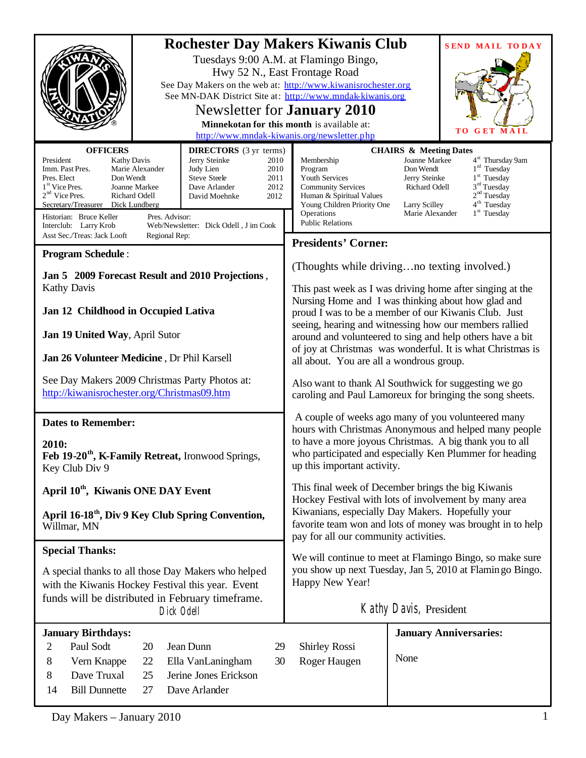| <b>Rochester Day Makers Kiwanis Club</b><br>See Day Makers on the web at: http://www.kiwanisrochester.org<br>See MN-DAK District Site at: http://www.mndak-kiwanis.org                                                                                                                                                                                                                                                                                                                                             | Tuesdays 9:00 A.M. at Flamingo Bingo,<br>Hwy 52 N., East Frontage Road<br>Newsletter for <b>January 2010</b><br>Minnekotan for this month is available at:<br>http://www.mndak-kiwanis.org/newsletter.php                                                                                                                                                                                                                                                                                                                                                                                                                                                                                                                                                                                                                                        | <b>SEND MAIL TODAY</b><br>TО<br>G<br>ET<br>MAII                                                                                                                                                                                                                                                        |
|--------------------------------------------------------------------------------------------------------------------------------------------------------------------------------------------------------------------------------------------------------------------------------------------------------------------------------------------------------------------------------------------------------------------------------------------------------------------------------------------------------------------|--------------------------------------------------------------------------------------------------------------------------------------------------------------------------------------------------------------------------------------------------------------------------------------------------------------------------------------------------------------------------------------------------------------------------------------------------------------------------------------------------------------------------------------------------------------------------------------------------------------------------------------------------------------------------------------------------------------------------------------------------------------------------------------------------------------------------------------------------|--------------------------------------------------------------------------------------------------------------------------------------------------------------------------------------------------------------------------------------------------------------------------------------------------------|
| <b>OFFICERS</b><br><b>DIRECTORS</b> (3 yr terms)<br>President<br>Jerry Steinke<br><b>Kathy Davis</b><br>2010<br>Imm. Past Pres.<br>Marie Alexander<br>2010<br>Judy Lien<br>Don Wendt<br><b>Steve Steele</b><br>Pres. Elect<br>2011<br>$1st$ Vice Pres.<br>Joanne Markee<br>Dave Arlander<br>2012<br>$2nd$ Vice Pres.<br>Richard Odell<br>David Moehnke<br>2012<br>Secretary/Treasurer Dick Lundberg<br>Historian: Bruce Keller<br>Pres. Advisor:<br>Web/Newsletter: Dick Odell, J im Cook<br>Interclub: Larry Krob | Membership<br>Program<br>Youth Services<br><b>Community Services</b><br>Human & Spiritual Values<br>Young Children Priority One<br>Operations<br><b>Public Relations</b>                                                                                                                                                                                                                                                                                                                                                                                                                                                                                                                                                                                                                                                                         | <b>CHAIRS &amp; Meeting Dates</b><br><b>Joanne Markee</b><br>4 <sup>st</sup> Thursday 9am<br>$1rd$ Tuesday<br>Don Wendt<br>$1st$ Tuesday<br>Jerry Steinke<br>$3rd$ Tuesday<br>Richard Odell<br>2 <sup>nd</sup> Tuesday<br>4 <sup>th</sup> Tuesday<br>Larry Scilley<br>Marie Alexander<br>$1st$ Tuesday |
| Asst Sec./Treas: Jack Looft<br>Regional Rep:                                                                                                                                                                                                                                                                                                                                                                                                                                                                       | <b>Presidents' Corner:</b>                                                                                                                                                                                                                                                                                                                                                                                                                                                                                                                                                                                                                                                                                                                                                                                                                       |                                                                                                                                                                                                                                                                                                        |
| <b>Program Schedule:</b><br>Jan 5 2009 Forecast Result and 2010 Projections,<br><b>Kathy Davis</b><br>Jan 12 Childhood in Occupied Lativa<br>Jan 19 United Way, April Sutor<br>Jan 26 Volunteer Medicine, Dr Phil Karsell<br>See Day Makers 2009 Christmas Party Photos at:<br>http://kiwanisrochester.org/Christmas09.htm<br><b>Dates to Remember:</b><br>2010:<br>Feb 19-20 <sup>th</sup> , K-Family Retreat, Ironwood Springs,<br>Key Club Div 9                                                                | (Thoughts while drivingno texting involved.)<br>This past week as I was driving home after singing at the<br>Nursing Home and I was thinking about how glad and<br>proud I was to be a member of our Kiwanis Club. Just<br>seeing, hearing and witnessing how our members rallied<br>around and volunteered to sing and help others have a bit<br>of joy at Christmas was wonderful. It is what Christmas is<br>all about. You are all a wondrous group.<br>Also want to thank Al Southwick for suggesting we go<br>caroling and Paul Lamoreux for bringing the song sheets.<br>A couple of weeks ago many of you volunteered many<br>hours with Christmas Anonymous and helped many people<br>to have a more joyous Christmas. A big thank you to all<br>who participated and especially Ken Plummer for heading<br>up this important activity. |                                                                                                                                                                                                                                                                                                        |
| April 10 <sup>th</sup> , Kiwanis ONE DAY Event<br>April 16-18 <sup>th</sup> , Div 9 Key Club Spring Convention,<br>Willmar, MN                                                                                                                                                                                                                                                                                                                                                                                     | This final week of December brings the big Kiwanis<br>Hockey Festival with lots of involvement by many area<br>Kiwanians, especially Day Makers. Hopefully your<br>favorite team won and lots of money was brought in to help<br>pay for all our community activities.                                                                                                                                                                                                                                                                                                                                                                                                                                                                                                                                                                           |                                                                                                                                                                                                                                                                                                        |
| <b>Special Thanks:</b><br>A special thanks to all those Day Makers who helped<br>with the Kiwanis Hockey Festival this year. Event<br>funds will be distributed in February timeframe.<br>Dick Odell                                                                                                                                                                                                                                                                                                               | We will continue to meet at Flamingo Bingo, so make sure<br>you show up next Tuesday, Jan 5, 2010 at Flamin go Bingo.<br>Happy New Year!<br>Kathy Davis, President                                                                                                                                                                                                                                                                                                                                                                                                                                                                                                                                                                                                                                                                               |                                                                                                                                                                                                                                                                                                        |
| <b>January Birthdays:</b><br>Paul Sodt<br>Jean Dunn<br>2<br>20<br>29<br>8<br>Vern Knappe<br>Ella VanLaningham<br>30<br>22<br>Jerine Jones Erickson<br>Dave Truxal<br>25<br>8<br><b>Bill Dunnette</b><br>Dave Arlander<br>14<br>27                                                                                                                                                                                                                                                                                  | <b>Shirley Rossi</b><br>Roger Haugen                                                                                                                                                                                                                                                                                                                                                                                                                                                                                                                                                                                                                                                                                                                                                                                                             | <b>January Anniversaries:</b><br>None                                                                                                                                                                                                                                                                  |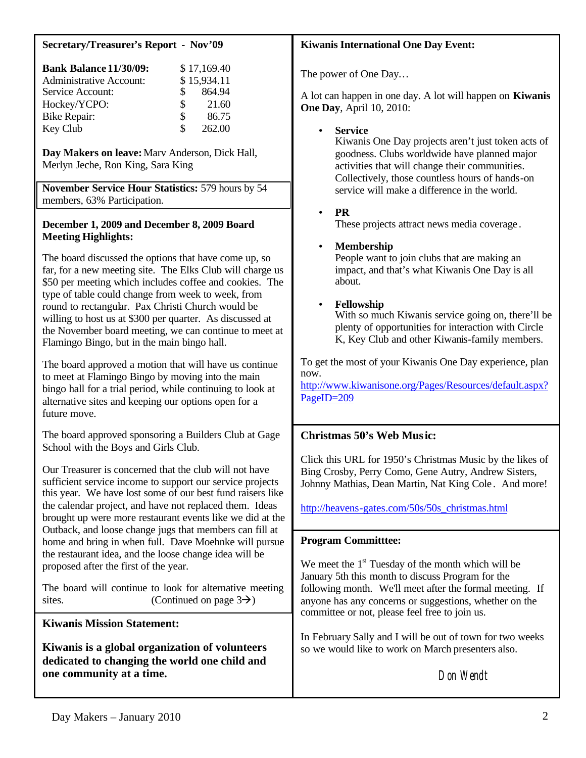# **Secretary/Treasurer's Report - Nov'09**

| <b>Bank Balance 11/30/09:</b>  |    | \$17,169.40 |
|--------------------------------|----|-------------|
| <b>Administrative Account:</b> |    | \$15,934.11 |
| Service Account:               | S. | 864.94      |
| Hockey/YCPO:                   | S. | 21.60       |
| Bike Repair:                   | \$ | 86.75       |
| Key Club                       | \$ | 262.00      |

**Day Makers on leave:**Marv Anderson, Dick Hall, Merlyn Jeche, Ron King, Sara King

**November Service Hour Statistics:** 579 hours by 54 members, 63% Participation.

### **December 1, 2009 and December 8, 2009 Board Meeting Highlights:**

The board discussed the options that have come up, so far, for a new meeting site. The Elks Club will charge us \$50 per meeting which includes coffee and cookies. The type of table could change from week to week, from round to rectangular. Pax Christi Church would be willing to host us at \$300 per quarter. As discussed at the November board meeting, we can continue to meet at Flamingo Bingo, but in the main bingo hall.

The board approved a motion that will have us continue to meet at Flamingo Bingo by moving into the main bingo hall for a trial period, while continuing to look at alternative sites and keeping our options open for a future move.

The board approved sponsoring a Builders Club at Gage School with the Boys and Girls Club.

Our Treasurer is concerned that the club will not have sufficient service income to support our service projects this year. We have lost some of our best fund raisers like the calendar project, and have not replaced them. Ideas brought up were more restaurant events like we did at the Outback, and loose change jugs that members can fill at home and bring in when full. Dave Moehnke will pursue the restaurant idea, and the loose change idea will be proposed after the first of the year.

The board will continue to look for alternative meeting sites. (Continued on page  $3\rightarrow$ )

# **Kiwanis Mission Statement:**

**Kiwanis is a global organization of volunteers dedicated to changing the world one child and one community at a time.**

# **Kiwanis International One Day Event:**

The power of One Day…

A lot can happen in one day. A lot will happen on **Kiwanis One Day**, April 10, 2010:

# • **Service**

Kiwanis One Day projects aren't just token acts of goodness. Clubs worldwide have planned major activities that will change their communities. Collectively, those countless hours of hands-on service will make a difference in the world.

# • **PR**

These projects attract news media coverage .

# • **Membership**

People want to join clubs that are making an impact, and that's what Kiwanis One Day is all about.

# • **Fellowship**

With so much Kiwanis service going on, there'll be plenty of opportunities for interaction with Circle K, Key Club and other Kiwanis-family members.

To get the most of your Kiwanis One Day experience, plan now.

[http://www.kiwanisone.org/Pages/Resources/default.aspx?](http://www.kiwanisone.org/Pages/Resources/default.aspx?PageID=209) PageID=209

# **Christmas 50's Web Music:**

Click this URL for 1950's Christmas Music by the likes of Bing Crosby, Perry Como, Gene Autry, Andrew Sisters, Johnny Mathias, Dean Martin, Nat King Cole . And more!

[http://heavens-gates.com/50s/50s\\_christmas.html](http://heavens-gates.com/50s/50s_christmas.html)

### **Program Committtee:**

We meet the  $1<sup>st</sup>$  Tuesday of the month which will be January 5th this month to discuss Program for the following month. We'll meet after the formal meeting. If anyone has any concerns or suggestions, whether on the committee or not, please feel free to join us.

In February Sally and I will be out of town for two weeks so we would like to work on March presenters also.

Don Wendt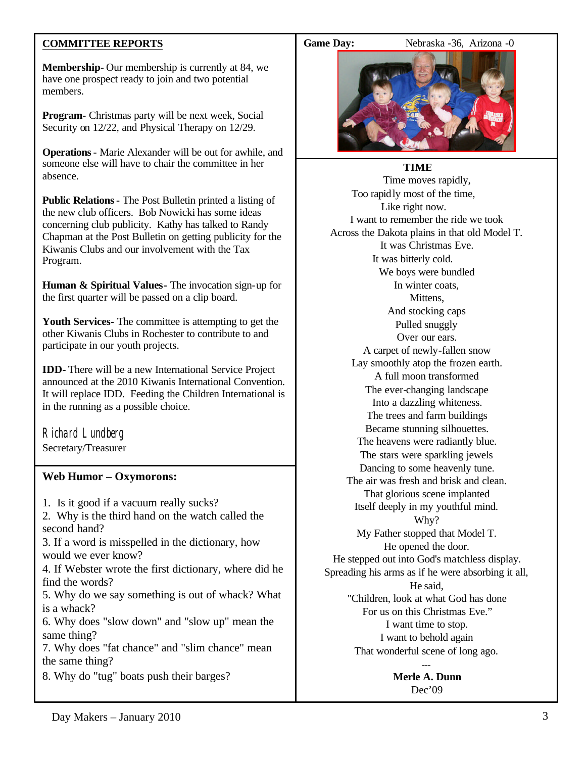# **COMMITTEE REPORTS**

**Membership-** Our membership is currently at 84, we have one prospect ready to join and two potential members.

**Program-** Christmas party will be next week, Social Security on 12/22, and Physical Therapy on 12/29.

**Operations**- Marie Alexander will be out for awhile, and someone else will have to chair the committee in her absence.

**Public Relations-** The Post Bulletin printed a listing of the new club officers. Bob Nowicki has some ideas concerning club publicity. Kathy has talked to Randy Chapman at the Post Bulletin on getting publicity for the Kiwanis Clubs and our involvement with the Tax Program.

**Human & Spiritual Values-** The invocation sign-up for the first quarter will be passed on a clip board.

**Youth Services-** The committee is attempting to get the other Kiwanis Clubs in Rochester to contribute to and participate in our youth projects.

**IDD-** There will be a new International Service Project announced at the 2010 Kiwanis International Convention. It will replace IDD. Feeding the Children International is in the running as a possible choice.

Richard Lundberg Secretary/Treasurer

### **Web Humor – Oxymorons:**

1. Is it good if a vacuum really sucks?

2. Why is the third hand on the watch called the second hand?

3. If a word is misspelled in the dictionary, how would we ever know?

4. If Webster wrote the first dictionary, where did he find the words?

5. Why do we say something is out of whack? What is a whack?

6. Why does "slow down" and "slow up" mean the same thing?

7. Why does "fat chance" and "slim chance" mean the same thing?

8. Why do "tug" boats push their barges?

Game Day: Nebraska -36, Arizona -0



#### **TIME**

Time moves rapidly, Too rapidly most of the time, Like right now. I want to remember the ride we took Across the Dakota plains in that old Model T. It was Christmas Eve. It was bitterly cold. We boys were bundled In winter coats, Mittens, And stocking caps Pulled snuggly Over our ears. A carpet of newly-fallen snow Lay smoothly atop the frozen earth. A full moon transformed The ever-changing landscape Into a dazzling whiteness. The trees and farm buildings Became stunning silhouettes. The heavens were radiantly blue. The stars were sparkling jewels Dancing to some heavenly tune. The air was fresh and brisk and clean. That glorious scene implanted Itself deeply in my youthful mind. Why? My Father stopped that Model T. He opened the door. He stepped out into God's matchless display. Spreading his arms as if he were absorbing it all, He said, "Children, look at what God has done For us on this Christmas Eve." I want time to stop. I want to behold again That wonderful scene of long ago.

> **Merle A. Dunn** Dec'09

---